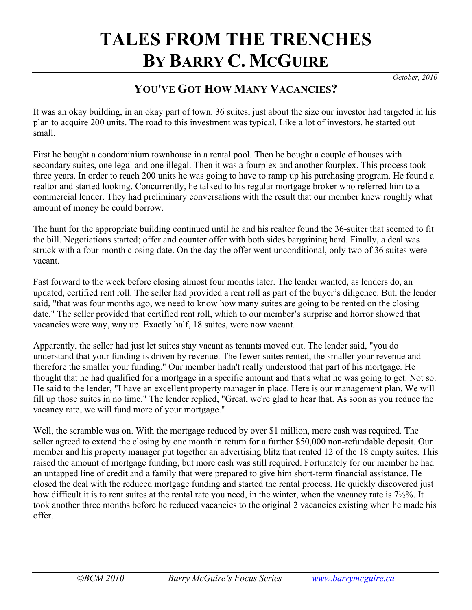# **TALES FROM THE TRENCHES BY BARRY C. MCGUIRE**

*October, 2010* 

## **YOU'VE GOT HOW MANY VACANCIES?**

It was an okay building, in an okay part of town. 36 suites, just about the size our investor had targeted in his plan to acquire 200 units. The road to this investment was typical. Like a lot of investors, he started out small.

First he bought a condominium townhouse in a rental pool. Then he bought a couple of houses with secondary suites, one legal and one illegal. Then it was a fourplex and another fourplex. This process took three years. In order to reach 200 units he was going to have to ramp up his purchasing program. He found a realtor and started looking. Concurrently, he talked to his regular mortgage broker who referred him to a commercial lender. They had preliminary conversations with the result that our member knew roughly what amount of money he could borrow.

The hunt for the appropriate building continued until he and his realtor found the 36-suiter that seemed to fit the bill. Negotiations started; offer and counter offer with both sides bargaining hard. Finally, a deal was struck with a four-month closing date. On the day the offer went unconditional, only two of 36 suites were vacant.

Fast forward to the week before closing almost four months later. The lender wanted, as lenders do, an updated, certified rent roll. The seller had provided a rent roll as part of the buyer's diligence. But, the lender said, "that was four months ago, we need to know how many suites are going to be rented on the closing date." The seller provided that certified rent roll, which to our member's surprise and horror showed that vacancies were way, way up. Exactly half, 18 suites, were now vacant.

Apparently, the seller had just let suites stay vacant as tenants moved out. The lender said, "you do understand that your funding is driven by revenue. The fewer suites rented, the smaller your revenue and therefore the smaller your funding." Our member hadn't really understood that part of his mortgage. He thought that he had qualified for a mortgage in a specific amount and that's what he was going to get. Not so. He said to the lender, "I have an excellent property manager in place. Here is our management plan. We will fill up those suites in no time." The lender replied, "Great, we're glad to hear that. As soon as you reduce the vacancy rate, we will fund more of your mortgage."

Well, the scramble was on. With the mortgage reduced by over \$1 million, more cash was required. The seller agreed to extend the closing by one month in return for a further \$50,000 non-refundable deposit. Our member and his property manager put together an advertising blitz that rented 12 of the 18 empty suites. This raised the amount of mortgage funding, but more cash was still required. Fortunately for our member he had an untapped line of credit and a family that were prepared to give him short-term financial assistance. He closed the deal with the reduced mortgage funding and started the rental process. He quickly discovered just how difficult it is to rent suites at the rental rate you need, in the winter, when the vacancy rate is 7½%. It took another three months before he reduced vacancies to the original 2 vacancies existing when he made his offer.